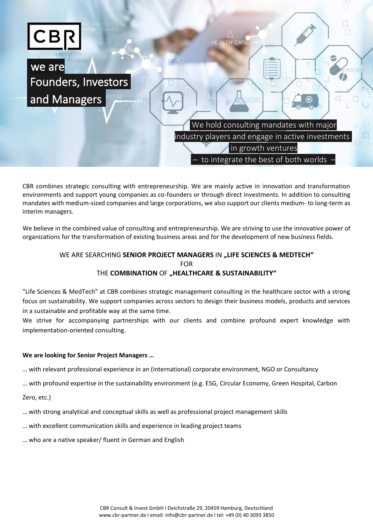

CBR combines strategic consulting with entrepreneurship. We are mainly active in innovation and transformation environments and support young companies as co-founders or through direct investments. In addition to consulting mandates with medium-sized companies and large corporations, we also support our clients medium- to long-term as interim managers.

We believe in the combined value of consulting and entrepreneurship. We are striving to use the innovative power of organizations for the transformation of existing business areas and for the development of new business fields.

# WE ARE SEARCHING **SENIOR PROJECT MANAGERS** IN **"LIFE SCIENCES & MEDTECH"** FOR THE **COMBINATION** OF "HEALTHCARE & SUSTAINABILITY"

"Life Sciences & MedTech" at CBR combines strategic management consulting in the healthcare sector with a strong focus on sustainability. We support companies across sectors to design their business models, products and services in a sustainable and profitable way at the same time.

We strive for accompanying partnerships with our clients and combine profound expert knowledge with implementation-oriented consulting.

# **We are looking for Senior Project Managers …**

… with relevant professional experience in an (international) corporate environment, NGO or Consultancy

… with profound expertise in the sustainability environment (e.g. ESG, Circular Economy, Green Hospital, Carbon

Zero, etc.)

- … with strong analytical and conceptual skills as well as professional project management skills
- … with excellent communication skills and experience in leading project teams
- … who are a native speaker/ fluent in German and English